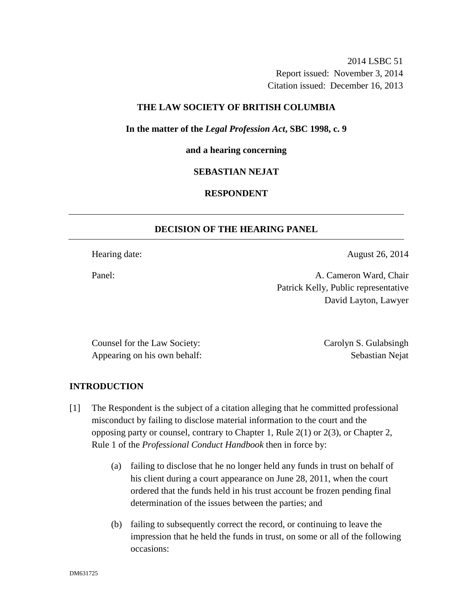2014 LSBC 51 Report issued: November 3, 2014 Citation issued: December 16, 2013

### **THE LAW SOCIETY OF BRITISH COLUMBIA**

**In the matter of the** *Legal Profession Act***, SBC 1998, c. 9** 

#### **and a hearing concerning**

#### **SEBASTIAN NEJAT**

### **RESPONDENT**

## **DECISION OF THE HEARING PANEL**

Hearing date: August 26, 2014

Panel: **A. Cameron Ward, Chair** Patrick Kelly, Public representative David Layton, Lawyer

Counsel for the Law Society: Carolyn S. Gulabsingh Appearing on his own behalf: Sebastian Nejat

### **INTRODUCTION**

- [1] The Respondent is the subject of a citation alleging that he committed professional misconduct by failing to disclose material information to the court and the opposing party or counsel, contrary to Chapter 1, Rule 2(1) or 2(3), or Chapter 2, Rule 1 of the *Professional Conduct Handbook* then in force by:
	- (a) failing to disclose that he no longer held any funds in trust on behalf of his client during a court appearance on June 28, 2011, when the court ordered that the funds held in his trust account be frozen pending final determination of the issues between the parties; and
	- (b) failing to subsequently correct the record, or continuing to leave the impression that he held the funds in trust, on some or all of the following occasions: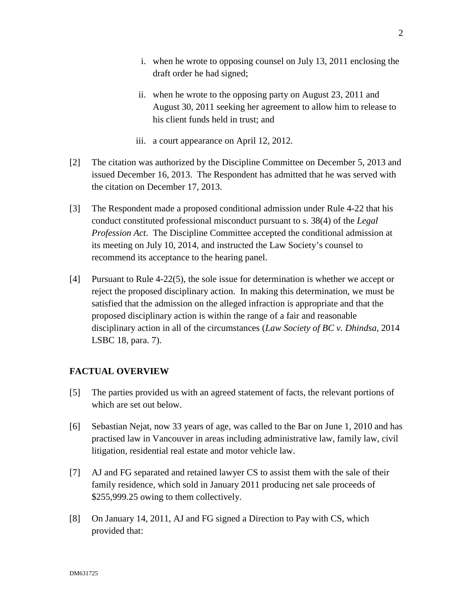- i. when he wrote to opposing counsel on July 13, 2011 enclosing the draft order he had signed;
- ii. when he wrote to the opposing party on August 23, 2011 and August 30, 2011 seeking her agreement to allow him to release to his client funds held in trust; and
- iii. a court appearance on April 12, 2012.
- [2] The citation was authorized by the Discipline Committee on December 5, 2013 and issued December 16, 2013. The Respondent has admitted that he was served with the citation on December 17, 2013.
- [3] The Respondent made a proposed conditional admission under Rule 4-22 that his conduct constituted professional misconduct pursuant to s. 38(4) of the *Legal Profession Act*. The Discipline Committee accepted the conditional admission at its meeting on July 10, 2014, and instructed the Law Society's counsel to recommend its acceptance to the hearing panel.
- [4] Pursuant to Rule 4-22(5), the sole issue for determination is whether we accept or reject the proposed disciplinary action. In making this determination, we must be satisfied that the admission on the alleged infraction is appropriate and that the proposed disciplinary action is within the range of a fair and reasonable disciplinary action in all of the circumstances (*Law Society of BC v. Dhindsa*, 2014 LSBC 18, para. 7).

# **FACTUAL OVERVIEW**

- [5] The parties provided us with an agreed statement of facts, the relevant portions of which are set out below.
- [6] Sebastian Nejat, now 33 years of age, was called to the Bar on June 1, 2010 and has practised law in Vancouver in areas including administrative law, family law, civil litigation, residential real estate and motor vehicle law.
- [7] AJ and FG separated and retained lawyer CS to assist them with the sale of their family residence, which sold in January 2011 producing net sale proceeds of \$255,999.25 owing to them collectively.
- [8] On January 14, 2011, AJ and FG signed a Direction to Pay with CS, which provided that: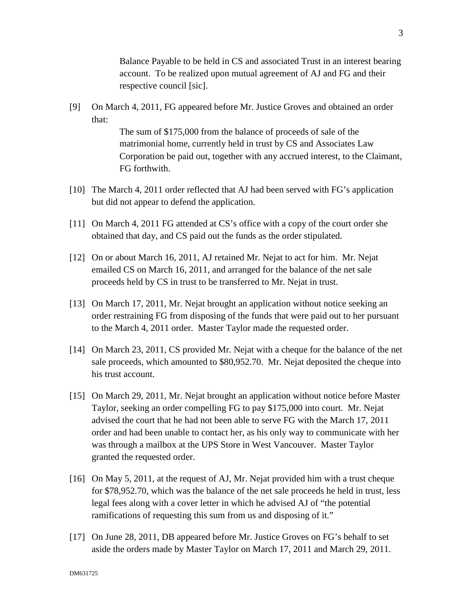Balance Payable to be held in CS and associated Trust in an interest bearing account. To be realized upon mutual agreement of AJ and FG and their respective council [sic].

[9] On March 4, 2011, FG appeared before Mr. Justice Groves and obtained an order that:

> The sum of \$175,000 from the balance of proceeds of sale of the matrimonial home, currently held in trust by CS and Associates Law Corporation be paid out, together with any accrued interest, to the Claimant, FG forthwith.

- [10] The March 4, 2011 order reflected that AJ had been served with FG's application but did not appear to defend the application.
- [11] On March 4, 2011 FG attended at CS's office with a copy of the court order she obtained that day, and CS paid out the funds as the order stipulated.
- [12] On or about March 16, 2011, AJ retained Mr. Nejat to act for him. Mr. Nejat emailed CS on March 16, 2011, and arranged for the balance of the net sale proceeds held by CS in trust to be transferred to Mr. Nejat in trust.
- [13] On March 17, 2011, Mr. Nejat brought an application without notice seeking an order restraining FG from disposing of the funds that were paid out to her pursuant to the March 4, 2011 order. Master Taylor made the requested order.
- [14] On March 23, 2011, CS provided Mr. Nejat with a cheque for the balance of the net sale proceeds, which amounted to \$80,952.70. Mr. Nejat deposited the cheque into his trust account.
- [15] On March 29, 2011, Mr. Nejat brought an application without notice before Master Taylor, seeking an order compelling FG to pay \$175,000 into court. Mr. Nejat advised the court that he had not been able to serve FG with the March 17, 2011 order and had been unable to contact her, as his only way to communicate with her was through a mailbox at the UPS Store in West Vancouver. Master Taylor granted the requested order.
- [16] On May 5, 2011, at the request of AJ, Mr. Nejat provided him with a trust cheque for \$78,952.70, which was the balance of the net sale proceeds he held in trust, less legal fees along with a cover letter in which he advised AJ of "the potential ramifications of requesting this sum from us and disposing of it."
- [17] On June 28, 2011, DB appeared before Mr. Justice Groves on FG's behalf to set aside the orders made by Master Taylor on March 17, 2011 and March 29, 2011.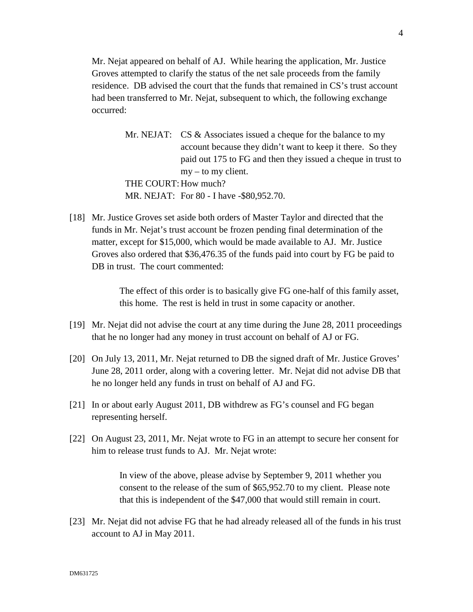Mr. Nejat appeared on behalf of AJ. While hearing the application, Mr. Justice Groves attempted to clarify the status of the net sale proceeds from the family residence. DB advised the court that the funds that remained in CS's trust account had been transferred to Mr. Nejat, subsequent to which, the following exchange occurred:

- Mr. NEJAT: CS & Associates issued a cheque for the balance to my account because they didn't want to keep it there. So they paid out 175 to FG and then they issued a cheque in trust to my – to my client. THE COURT: How much? MR. NEJAT: For 80 - I have -\$80,952.70.
- [18] Mr. Justice Groves set aside both orders of Master Taylor and directed that the funds in Mr. Nejat's trust account be frozen pending final determination of the matter, except for \$15,000, which would be made available to AJ. Mr. Justice Groves also ordered that \$36,476.35 of the funds paid into court by FG be paid to DB in trust. The court commented:

The effect of this order is to basically give FG one-half of this family asset, this home. The rest is held in trust in some capacity or another.

- [19] Mr. Nejat did not advise the court at any time during the June 28, 2011 proceedings that he no longer had any money in trust account on behalf of AJ or FG.
- [20] On July 13, 2011, Mr. Nejat returned to DB the signed draft of Mr. Justice Groves' June 28, 2011 order, along with a covering letter. Mr. Nejat did not advise DB that he no longer held any funds in trust on behalf of AJ and FG.
- [21] In or about early August 2011, DB withdrew as FG's counsel and FG began representing herself.
- [22] On August 23, 2011, Mr. Nejat wrote to FG in an attempt to secure her consent for him to release trust funds to AJ. Mr. Nejat wrote:

In view of the above, please advise by September 9, 2011 whether you consent to the release of the sum of \$65,952.70 to my client. Please note that this is independent of the \$47,000 that would still remain in court.

[23] Mr. Nejat did not advise FG that he had already released all of the funds in his trust account to AJ in May 2011.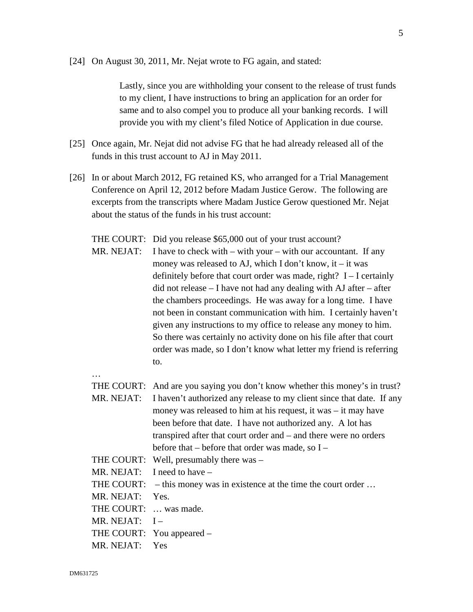[24] On August 30, 2011, Mr. Nejat wrote to FG again, and stated:

Lastly, since you are withholding your consent to the release of trust funds to my client, I have instructions to bring an application for an order for same and to also compel you to produce all your banking records. I will provide you with my client's filed Notice of Application in due course.

- [25] Once again, Mr. Nejat did not advise FG that he had already released all of the funds in this trust account to AJ in May 2011.
- [26] In or about March 2012, FG retained KS, who arranged for a Trial Management Conference on April 12, 2012 before Madam Justice Gerow. The following are excerpts from the transcripts where Madam Justice Gerow questioned Mr. Nejat about the status of the funds in his trust account:

THE COURT: Did you release \$65,000 out of your trust account? MR. NEJAT: I have to check with  $-$  with your  $-$  with our accountant. If any money was released to AJ, which I don't know, it – it was definitely before that court order was made, right?  $I - I$  certainly did not release – I have not had any dealing with AJ after – after the chambers proceedings. He was away for a long time. I have not been in constant communication with him. I certainly haven't given any instructions to my office to release any money to him. So there was certainly no activity done on his file after that court order was made, so I don't know what letter my friend is referring to.

…

THE COURT: And are you saying you don't know whether this money's in trust? MR. NEJAT: I haven't authorized any release to my client since that date. If any money was released to him at his request, it was – it may have been before that date. I have not authorized any. A lot has transpired after that court order and – and there were no orders before that – before that order was made, so I – THE COURT: Well, presumably there was – MR. NEJAT: I need to have – THE COURT: – this money was in existence at the time the court order ... MR. NEJAT: Yes. THE COURT: … was made.

MR. NEJAT:  $I -$ 

THE COURT: You appeared –

MR. NEJAT: Yes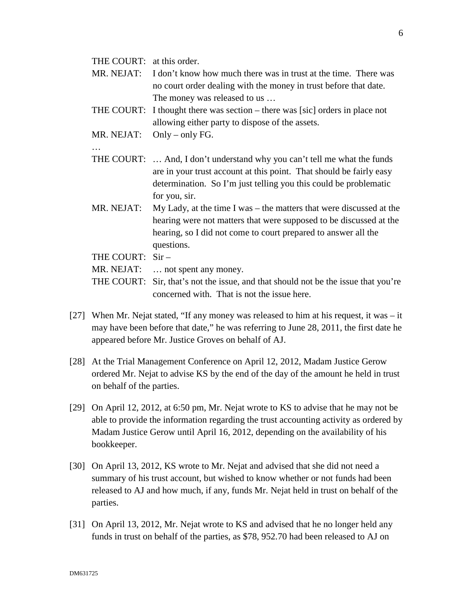THE COURT: at this order.

- MR. NEJAT: I don't know how much there was in trust at the time. There was no court order dealing with the money in trust before that date. The money was released to us …
- THE COURT: I thought there was section there was [sic] orders in place not allowing either party to dispose of the assets.
- MR. NEJAT: Only only FG.
- …
- THE COURT: … And, I don't understand why you can't tell me what the funds are in your trust account at this point. That should be fairly easy determination. So I'm just telling you this could be problematic for you, sir.
- MR. NEJAT: My Lady, at the time I was the matters that were discussed at the hearing were not matters that were supposed to be discussed at the hearing, so I did not come to court prepared to answer all the questions.

THE COURT: Sir –

MR. NEJAT: … not spent any money.

- THE COURT: Sir, that's not the issue, and that should not be the issue that you're concerned with. That is not the issue here.
- [27] When Mr. Nejat stated, "If any money was released to him at his request, it was  $-$  it may have been before that date," he was referring to June 28, 2011, the first date he appeared before Mr. Justice Groves on behalf of AJ.
- [28] At the Trial Management Conference on April 12, 2012, Madam Justice Gerow ordered Mr. Nejat to advise KS by the end of the day of the amount he held in trust on behalf of the parties.
- [29] On April 12, 2012, at 6:50 pm, Mr. Nejat wrote to KS to advise that he may not be able to provide the information regarding the trust accounting activity as ordered by Madam Justice Gerow until April 16, 2012, depending on the availability of his bookkeeper.
- [30] On April 13, 2012, KS wrote to Mr. Nejat and advised that she did not need a summary of his trust account, but wished to know whether or not funds had been released to AJ and how much, if any, funds Mr. Nejat held in trust on behalf of the parties.
- [31] On April 13, 2012, Mr. Nejat wrote to KS and advised that he no longer held any funds in trust on behalf of the parties, as \$78, 952.70 had been released to AJ on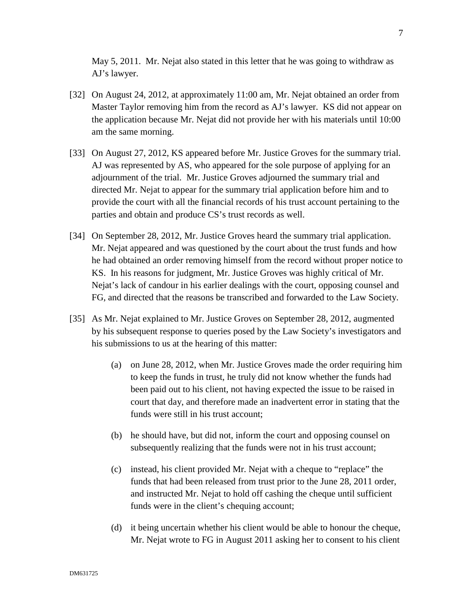May 5, 2011. Mr. Nejat also stated in this letter that he was going to withdraw as AJ's lawyer.

- [32] On August 24, 2012, at approximately 11:00 am, Mr. Nejat obtained an order from Master Taylor removing him from the record as AJ's lawyer. KS did not appear on the application because Mr. Nejat did not provide her with his materials until 10:00 am the same morning.
- [33] On August 27, 2012, KS appeared before Mr. Justice Groves for the summary trial. AJ was represented by AS, who appeared for the sole purpose of applying for an adjournment of the trial. Mr. Justice Groves adjourned the summary trial and directed Mr. Nejat to appear for the summary trial application before him and to provide the court with all the financial records of his trust account pertaining to the parties and obtain and produce CS's trust records as well.
- [34] On September 28, 2012, Mr. Justice Groves heard the summary trial application. Mr. Nejat appeared and was questioned by the court about the trust funds and how he had obtained an order removing himself from the record without proper notice to KS. In his reasons for judgment, Mr. Justice Groves was highly critical of Mr. Nejat's lack of candour in his earlier dealings with the court, opposing counsel and FG, and directed that the reasons be transcribed and forwarded to the Law Society.
- [35] As Mr. Nejat explained to Mr. Justice Groves on September 28, 2012, augmented by his subsequent response to queries posed by the Law Society's investigators and his submissions to us at the hearing of this matter:
	- (a) on June 28, 2012, when Mr. Justice Groves made the order requiring him to keep the funds in trust, he truly did not know whether the funds had been paid out to his client, not having expected the issue to be raised in court that day, and therefore made an inadvertent error in stating that the funds were still in his trust account;
	- (b) he should have, but did not, inform the court and opposing counsel on subsequently realizing that the funds were not in his trust account;
	- (c) instead, his client provided Mr. Nejat with a cheque to "replace" the funds that had been released from trust prior to the June 28, 2011 order, and instructed Mr. Nejat to hold off cashing the cheque until sufficient funds were in the client's chequing account;
	- (d) it being uncertain whether his client would be able to honour the cheque, Mr. Nejat wrote to FG in August 2011 asking her to consent to his client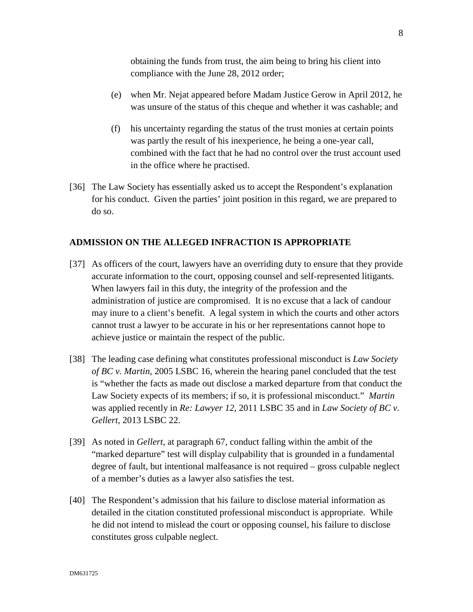obtaining the funds from trust, the aim being to bring his client into compliance with the June 28, 2012 order;

- (e) when Mr. Nejat appeared before Madam Justice Gerow in April 2012, he was unsure of the status of this cheque and whether it was cashable; and
- (f) his uncertainty regarding the status of the trust monies at certain points was partly the result of his inexperience, he being a one-year call, combined with the fact that he had no control over the trust account used in the office where he practised.
- [36] The Law Society has essentially asked us to accept the Respondent's explanation for his conduct. Given the parties' joint position in this regard, we are prepared to do so.

## **ADMISSION ON THE ALLEGED INFRACTION IS APPROPRIATE**

- [37] As officers of the court, lawyers have an overriding duty to ensure that they provide accurate information to the court, opposing counsel and self-represented litigants. When lawyers fail in this duty, the integrity of the profession and the administration of justice are compromised. It is no excuse that a lack of candour may inure to a client's benefit. A legal system in which the courts and other actors cannot trust a lawyer to be accurate in his or her representations cannot hope to achieve justice or maintain the respect of the public.
- [38] The leading case defining what constitutes professional misconduct is *Law Society of BC v. Martin,* 2005 LSBC 16, wherein the hearing panel concluded that the test is "whether the facts as made out disclose a marked departure from that conduct the Law Society expects of its members; if so, it is professional misconduct." *Martin* was applied recently in *Re: Lawyer 12*, 2011 LSBC 35 and in *Law Society of BC v. Gellert,* 2013 LSBC 22.
- [39] As noted in *Gellert*, at paragraph 67, conduct falling within the ambit of the "marked departure" test will display culpability that is grounded in a fundamental degree of fault, but intentional malfeasance is not required – gross culpable neglect of a member's duties as a lawyer also satisfies the test.
- [40] The Respondent's admission that his failure to disclose material information as detailed in the citation constituted professional misconduct is appropriate. While he did not intend to mislead the court or opposing counsel, his failure to disclose constitutes gross culpable neglect.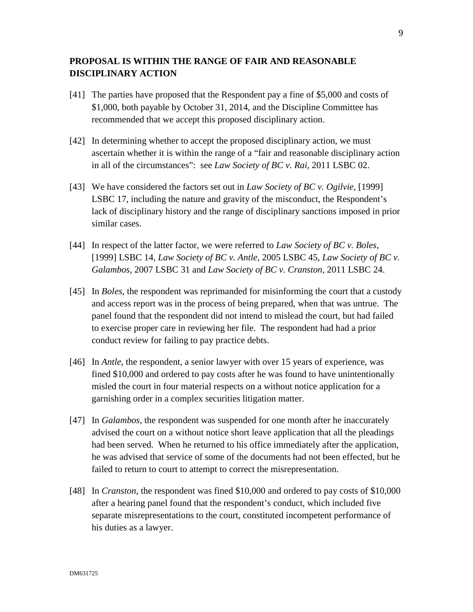# **PROPOSAL IS WITHIN THE RANGE OF FAIR AND REASONABLE DISCIPLINARY ACTION**

- [41] The parties have proposed that the Respondent pay a fine of \$5,000 and costs of \$1,000, both payable by October 31, 2014, and the Discipline Committee has recommended that we accept this proposed disciplinary action.
- [42] In determining whether to accept the proposed disciplinary action, we must ascertain whether it is within the range of a "fair and reasonable disciplinary action in all of the circumstances": see *Law Society of BC v. Rai*, 2011 LSBC 02.
- [43] We have considered the factors set out in *Law Society of BC v. Ogilvie*, [1999] LSBC 17, including the nature and gravity of the misconduct, the Respondent's lack of disciplinary history and the range of disciplinary sanctions imposed in prior similar cases.
- [44] In respect of the latter factor, we were referred to *Law Society of BC v. Boles*, [1999] LSBC 14, *Law Society of BC v. Antle*, 2005 LSBC 45, *Law Society of BC v. Galambos*, 2007 LSBC 31 and *Law Society of BC v. Cranston,* 2011 LSBC 24.
- [45] In *Boles*, the respondent was reprimanded for misinforming the court that a custody and access report was in the process of being prepared, when that was untrue. The panel found that the respondent did not intend to mislead the court, but had failed to exercise proper care in reviewing her file. The respondent had had a prior conduct review for failing to pay practice debts.
- [46] In *Antle*, the respondent, a senior lawyer with over 15 years of experience, was fined \$10,000 and ordered to pay costs after he was found to have unintentionally misled the court in four material respects on a without notice application for a garnishing order in a complex securities litigation matter.
- [47] In *Galambos*, the respondent was suspended for one month after he inaccurately advised the court on a without notice short leave application that all the pleadings had been served. When he returned to his office immediately after the application, he was advised that service of some of the documents had not been effected, but he failed to return to court to attempt to correct the misrepresentation.
- [48] In *Cranston*, the respondent was fined \$10,000 and ordered to pay costs of \$10,000 after a hearing panel found that the respondent's conduct, which included five separate misrepresentations to the court, constituted incompetent performance of his duties as a lawyer.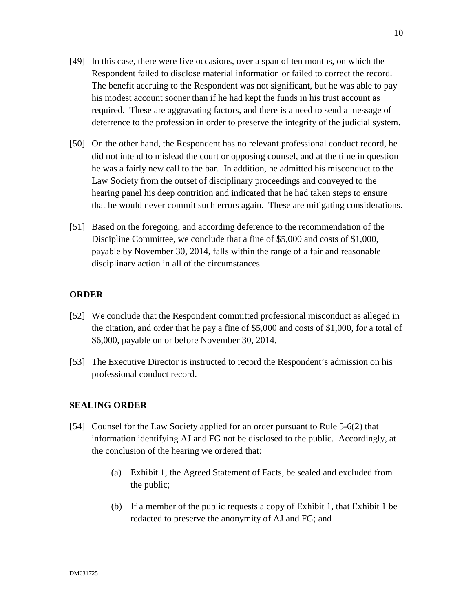- [49] In this case, there were five occasions, over a span of ten months, on which the Respondent failed to disclose material information or failed to correct the record. The benefit accruing to the Respondent was not significant, but he was able to pay his modest account sooner than if he had kept the funds in his trust account as required. These are aggravating factors, and there is a need to send a message of deterrence to the profession in order to preserve the integrity of the judicial system.
- [50] On the other hand, the Respondent has no relevant professional conduct record, he did not intend to mislead the court or opposing counsel, and at the time in question he was a fairly new call to the bar. In addition, he admitted his misconduct to the Law Society from the outset of disciplinary proceedings and conveyed to the hearing panel his deep contrition and indicated that he had taken steps to ensure that he would never commit such errors again. These are mitigating considerations.
- [51] Based on the foregoing, and according deference to the recommendation of the Discipline Committee, we conclude that a fine of \$5,000 and costs of \$1,000, payable by November 30, 2014, falls within the range of a fair and reasonable disciplinary action in all of the circumstances.

### **ORDER**

- [52] We conclude that the Respondent committed professional misconduct as alleged in the citation, and order that he pay a fine of \$5,000 and costs of \$1,000, for a total of \$6,000, payable on or before November 30, 2014.
- [53] The Executive Director is instructed to record the Respondent's admission on his professional conduct record.

### **SEALING ORDER**

- [54] Counsel for the Law Society applied for an order pursuant to Rule 5-6(2) that information identifying AJ and FG not be disclosed to the public. Accordingly, at the conclusion of the hearing we ordered that:
	- (a) Exhibit 1, the Agreed Statement of Facts, be sealed and excluded from the public;
	- (b) If a member of the public requests a copy of Exhibit 1, that Exhibit 1 be redacted to preserve the anonymity of AJ and FG; and